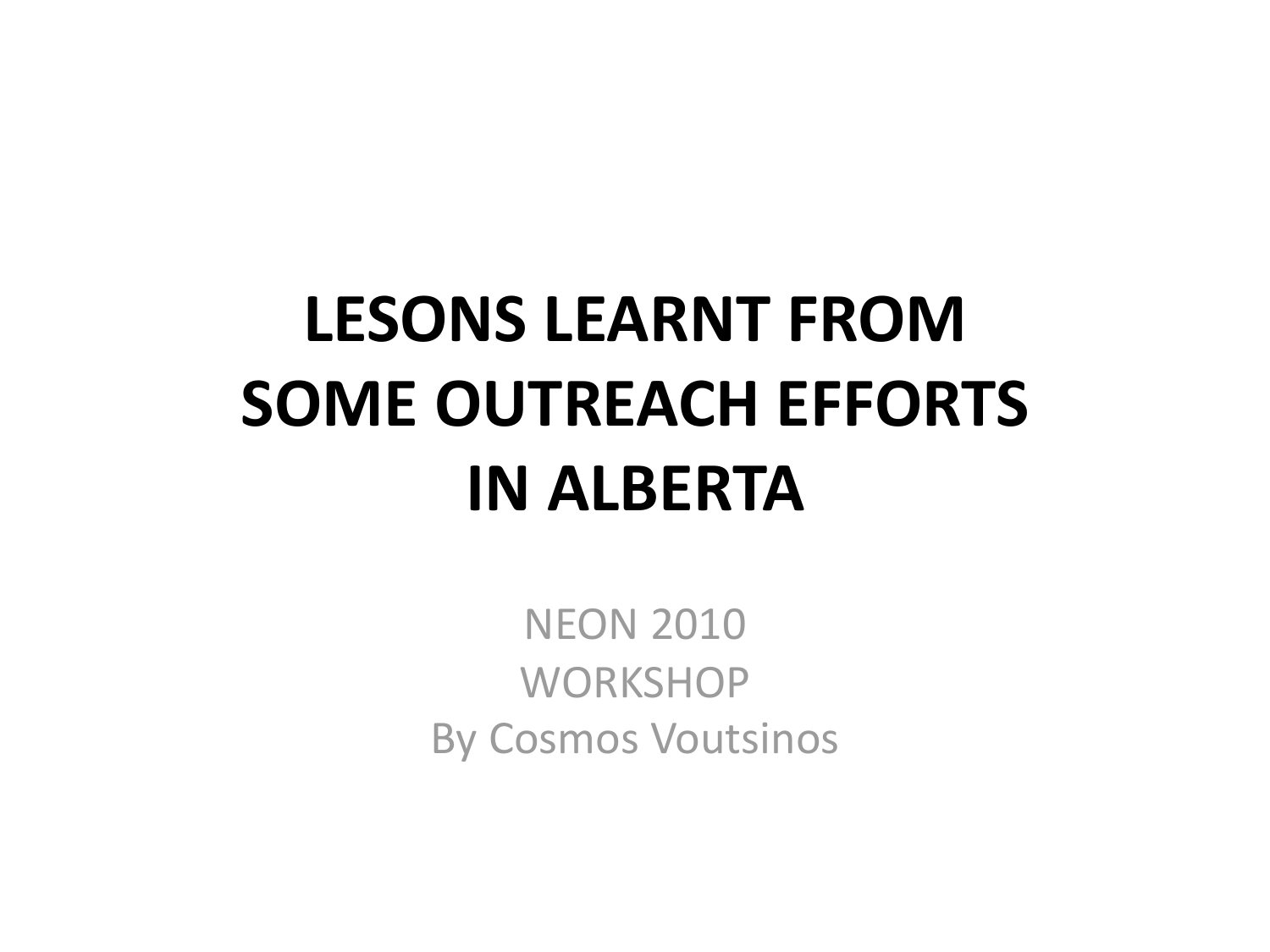## LESONS LEARNT FROM **SOME OUTREACH EFFORTS IN ALBERTA**

**NEON 2010 WORKSHOP** By Cosmos Voutsinos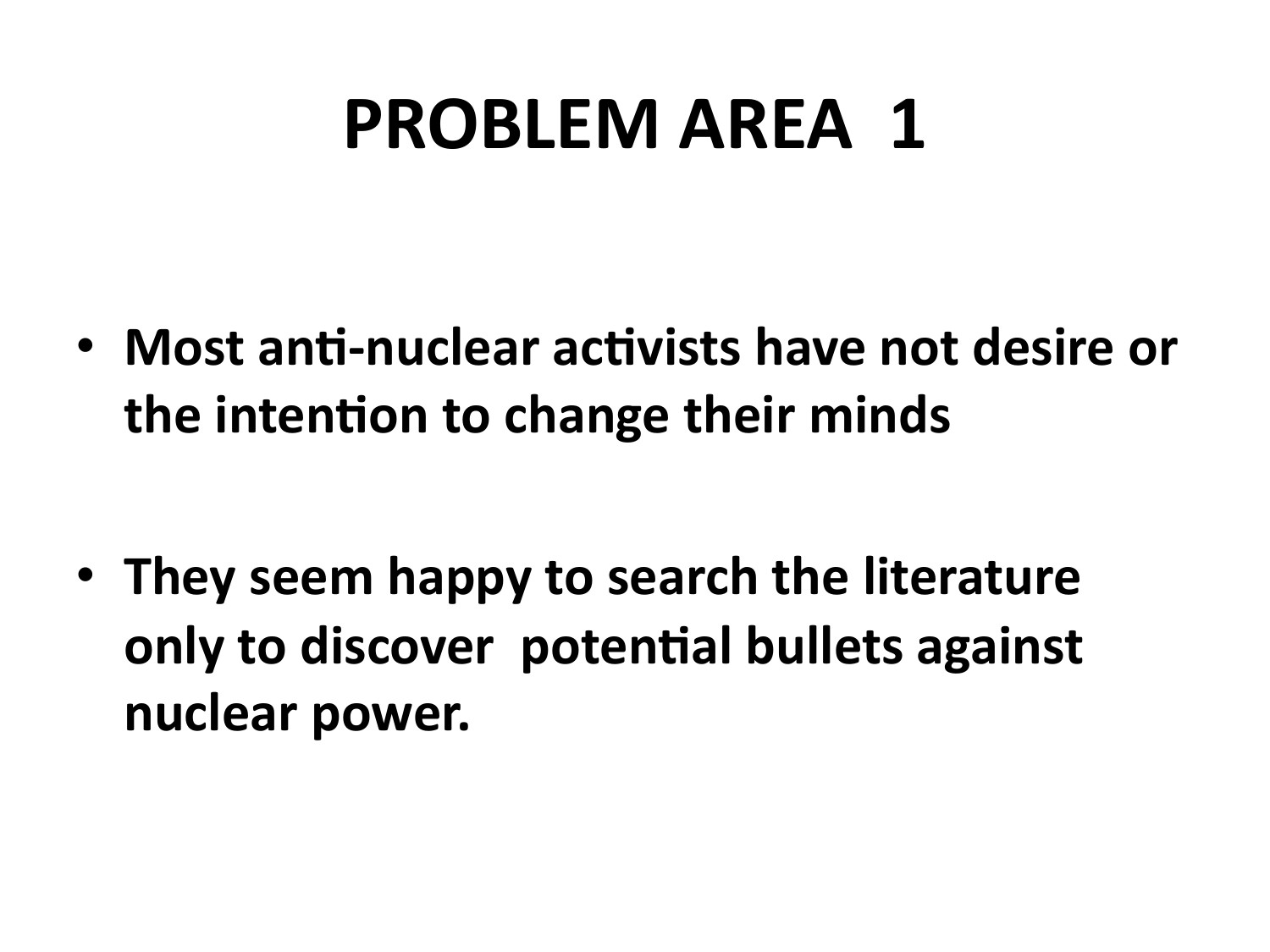## **PROBLEM AREA 1**

• Most anti-nuclear activists have not desire or the intention to change their minds

• They seem happy to search the literature only to discover potential bullets against nuclear power.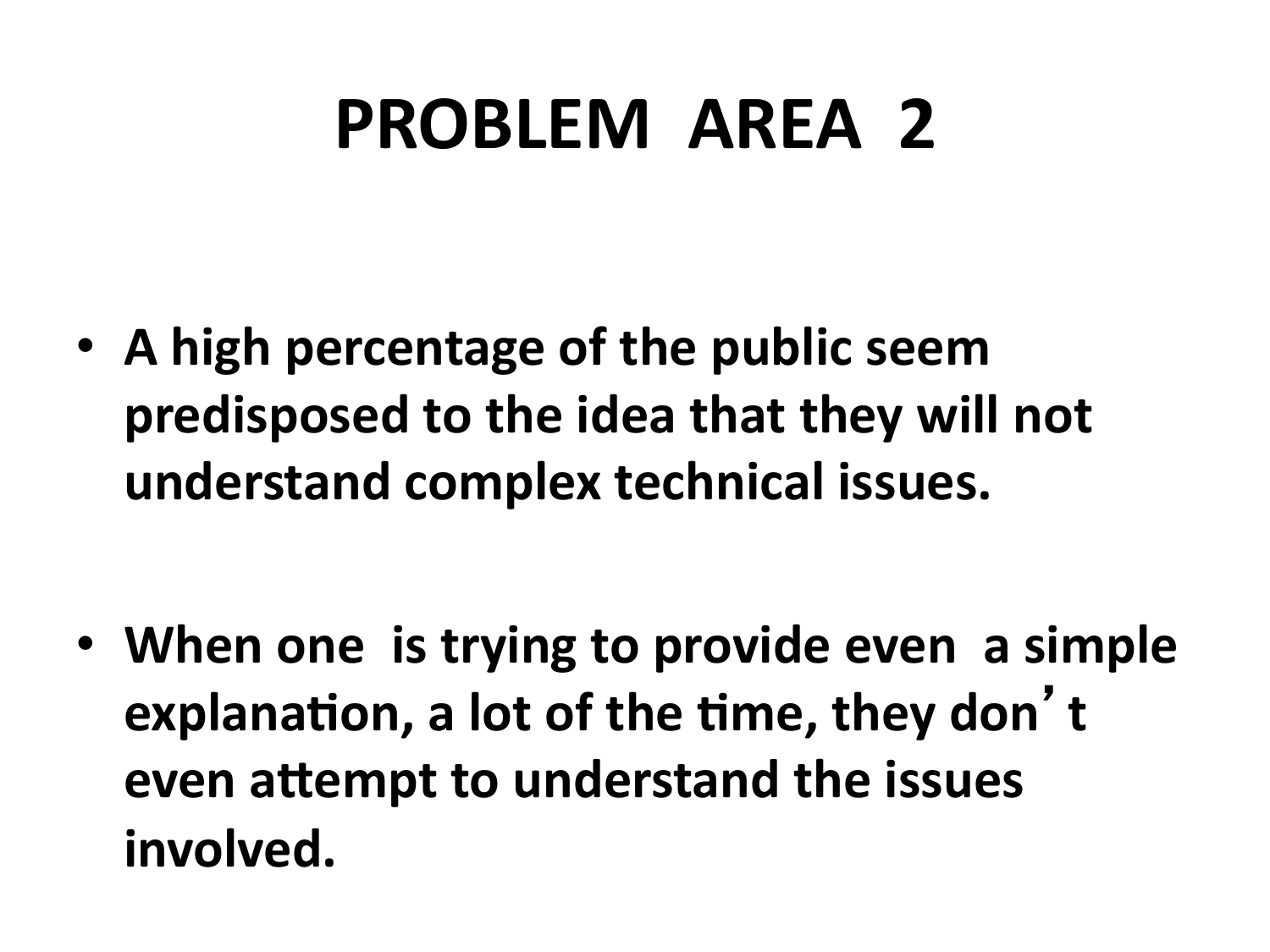# **PROBLEM AREA 2**

• A high percentage of the public seem **predisposed to the idea that they will not understand&complex&technical&issues.&**

• When one is trying to provide even a simple **explanation, a lot of the time, they don't** even attempt to understand the issues involved.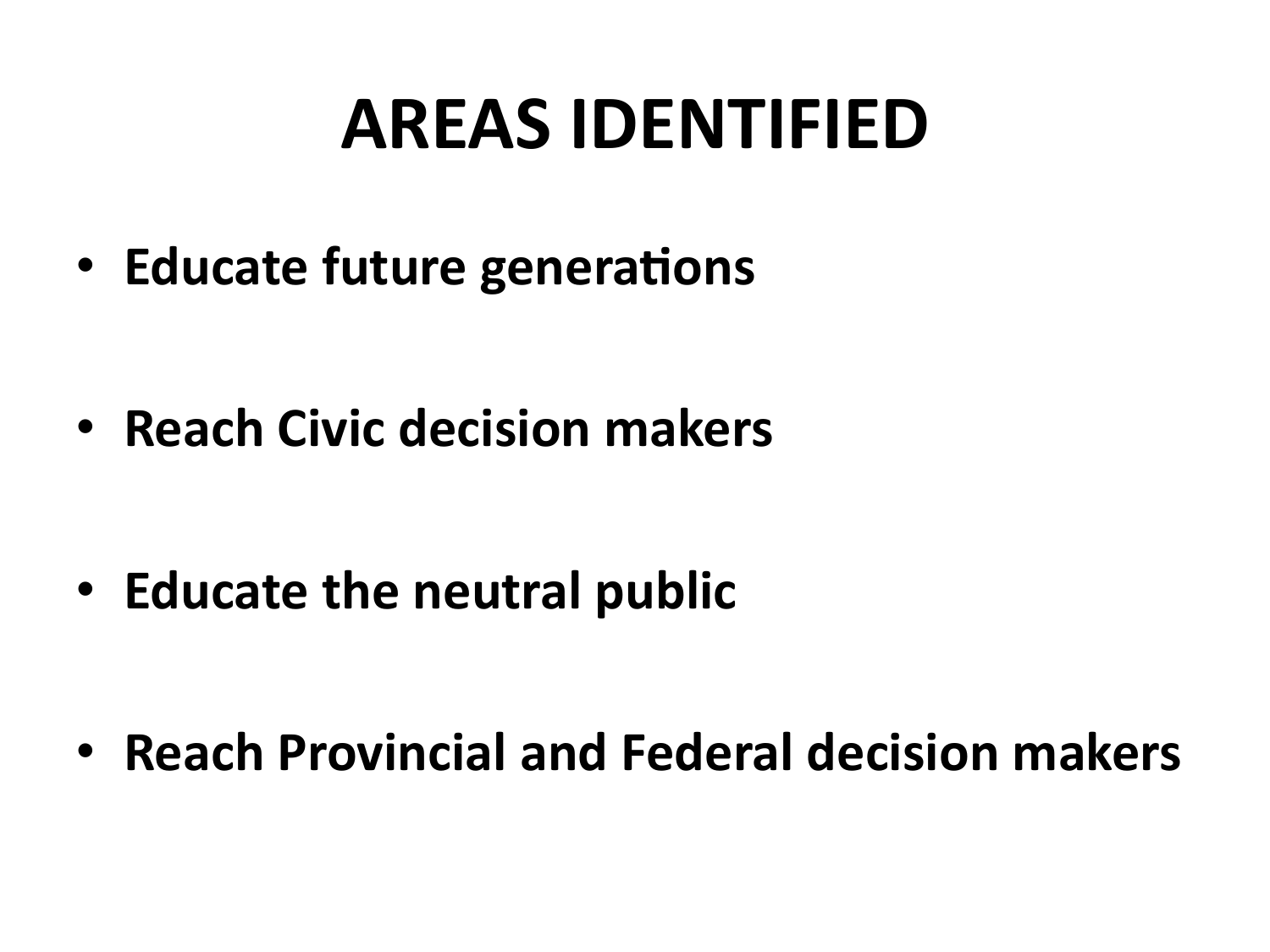## **AREAS&IDENTIFIED&**

• **Educate future generations** 

**• Reach Civic decision makers** 

• **Educate the neutral public** 

**• Reach Provincial and Federal decision makers**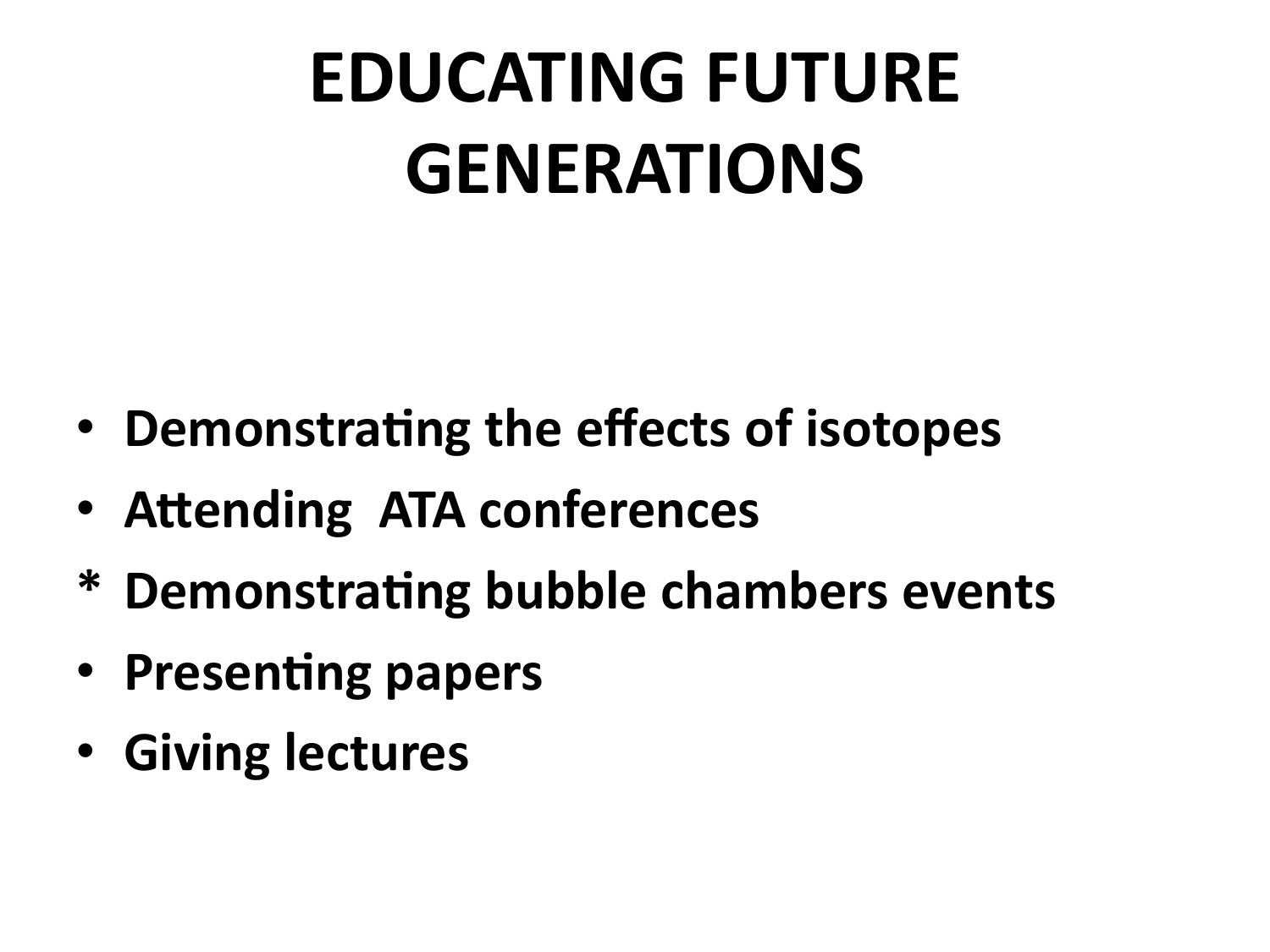# **EDUCATING FUTURE GENERATIONS&**

- Demonstrating the effects of isotopes
- Attending ATA conferences
- **\* Demonstra8ng&bubble&chambers&events&**
- Presenting papers
- Giving lectures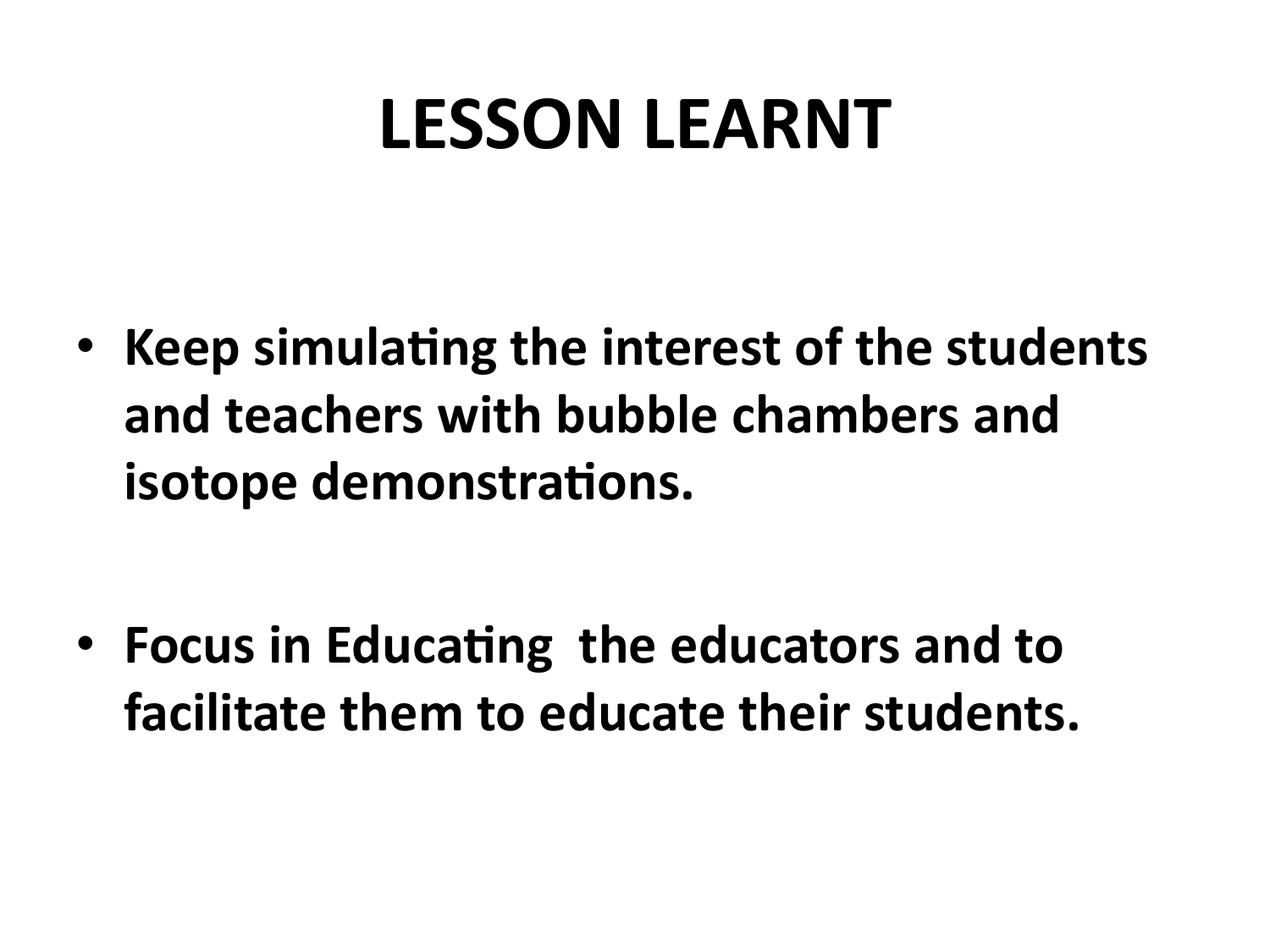## **LESSON LEARNT**

• Keep simulating the interest of the students and teachers with bubble chambers and isotope demonstrations.

• Focus in Educating the educators and to facilitate them to educate their students.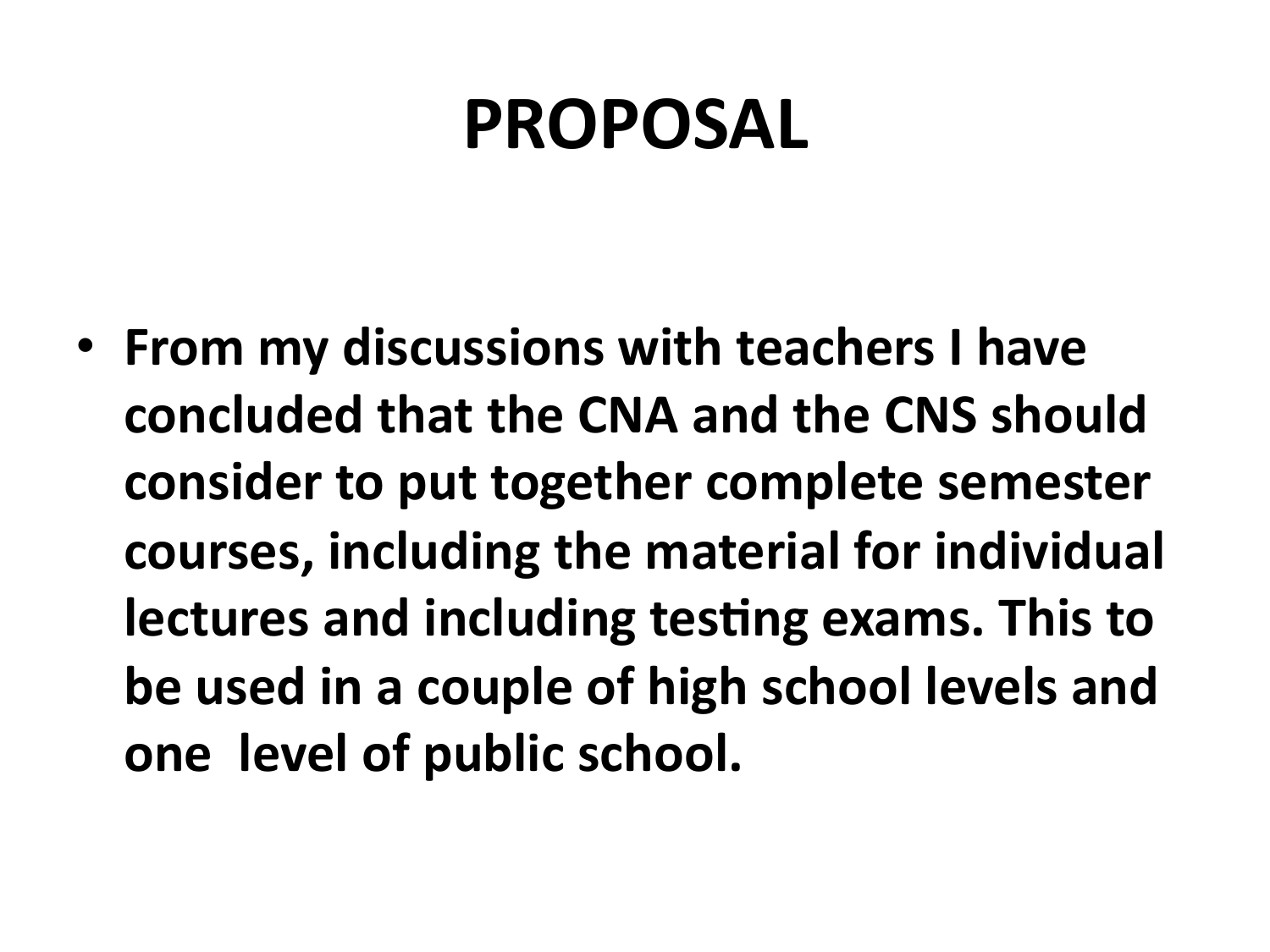## **PROPOSAL&**

• From my discussions with teachers I have concluded that the CNA and the CNS should consider to put together complete semester courses, including the material for individual **lectures and including testing exams. This to be used in a couple of high school levels and one level of public school.**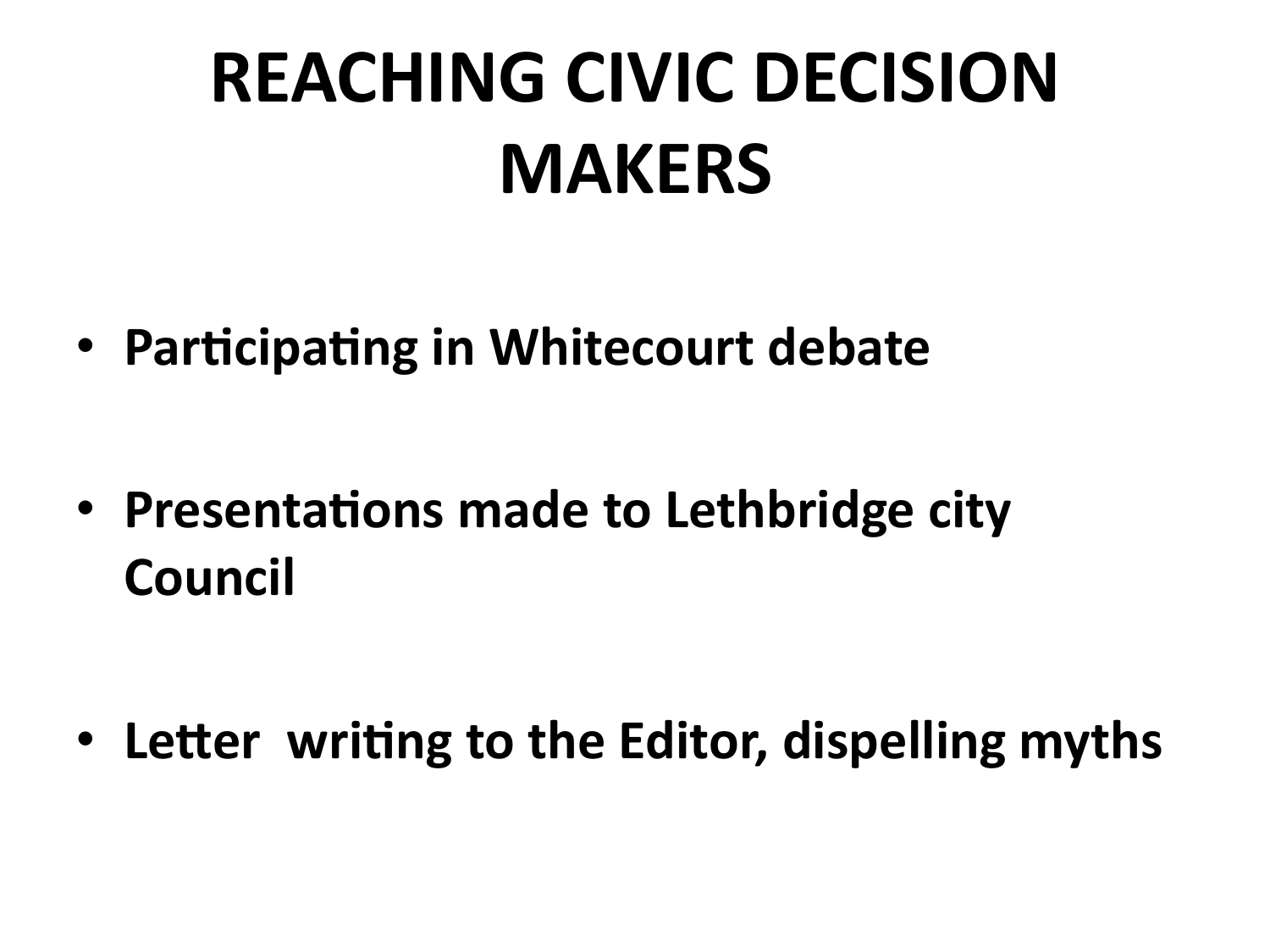# **REACHING CIVIC DECISION MAKERS**

• Participating in Whitecourt debate

• Presentations made to Lethbridge city Council

• Letter writing to the Editor, dispelling myths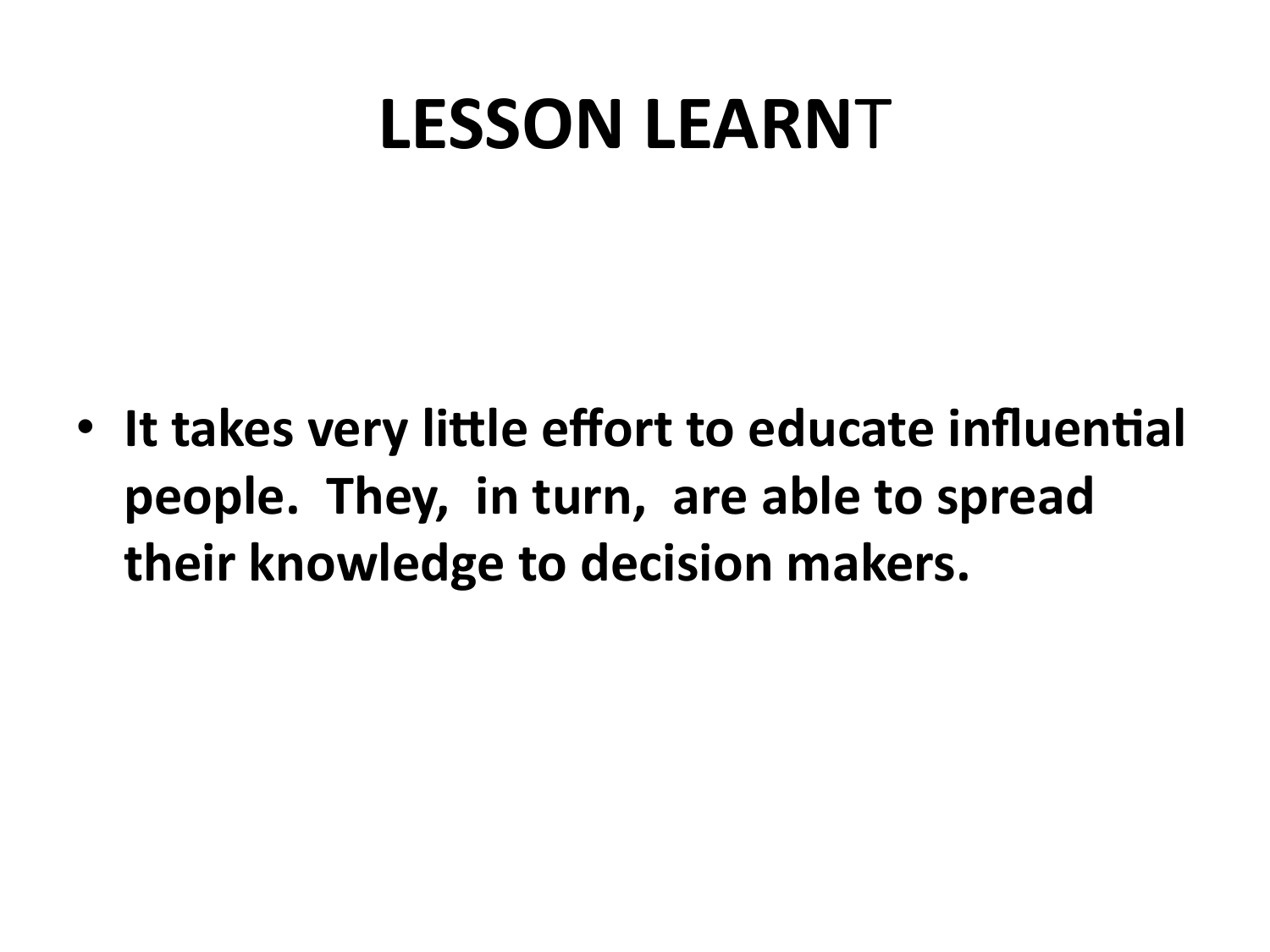### **LESSON LEARNT**

• It takes very little effort to educate influential people. They, in turn, are able to spread their knowledge to decision makers.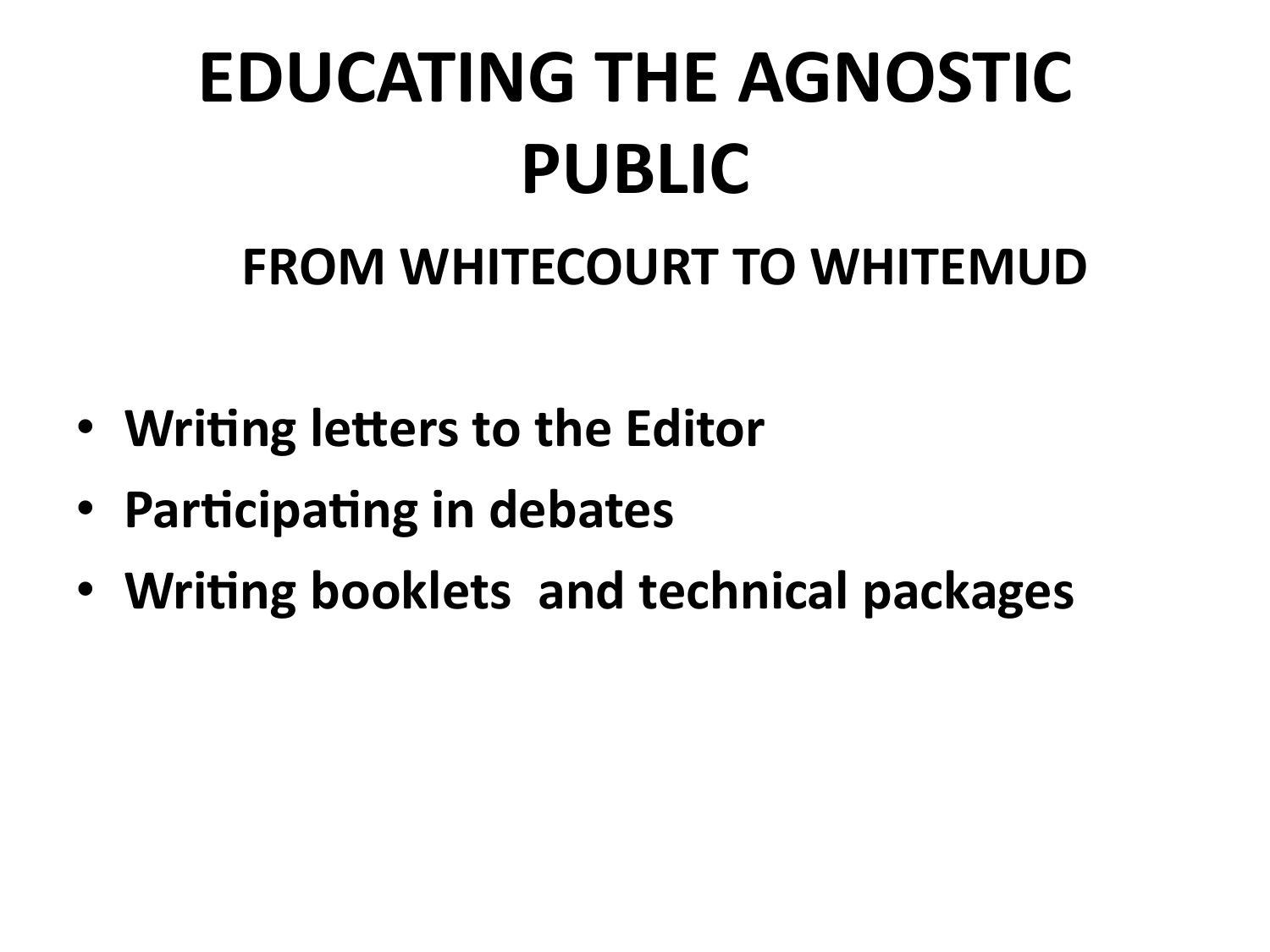# **EDUCATING THE AGNOSTIC PUBLIC**

#### **FROM WHITECOURT TO WHITEMUD**

- Writing letters to the Editor
- Participating in debates
- Writing booklets and technical packages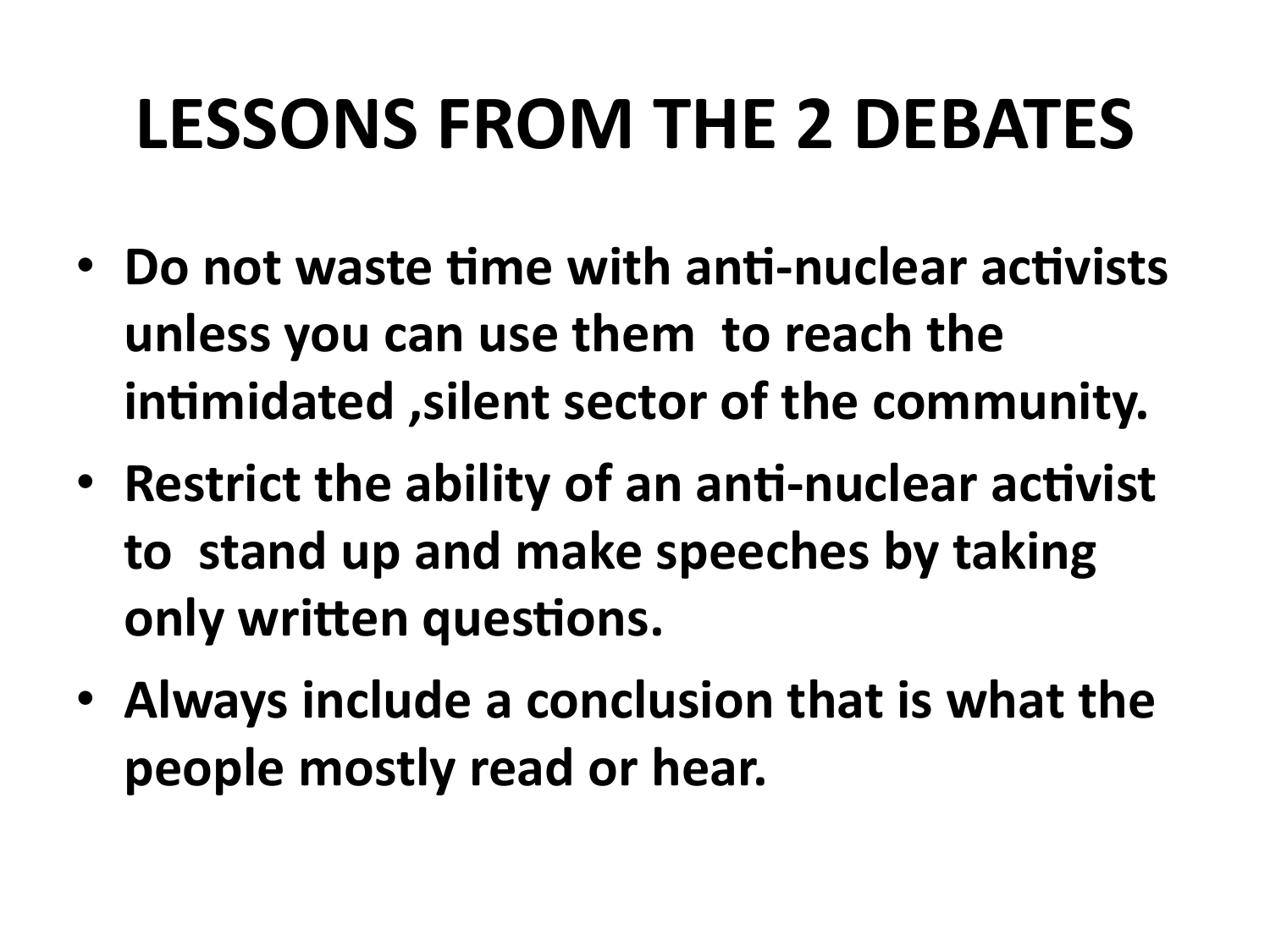# **LESSONS FROM THE 2 DEBATES**

- Do not waste time with anti-nuclear activists unless you can use them to reach the intimidated, silent sector of the community.
- Restrict the ability of an anti-nuclear activist to stand up and make speeches by taking only written questions.
- Always include a conclusion that is what the people mostly read or hear.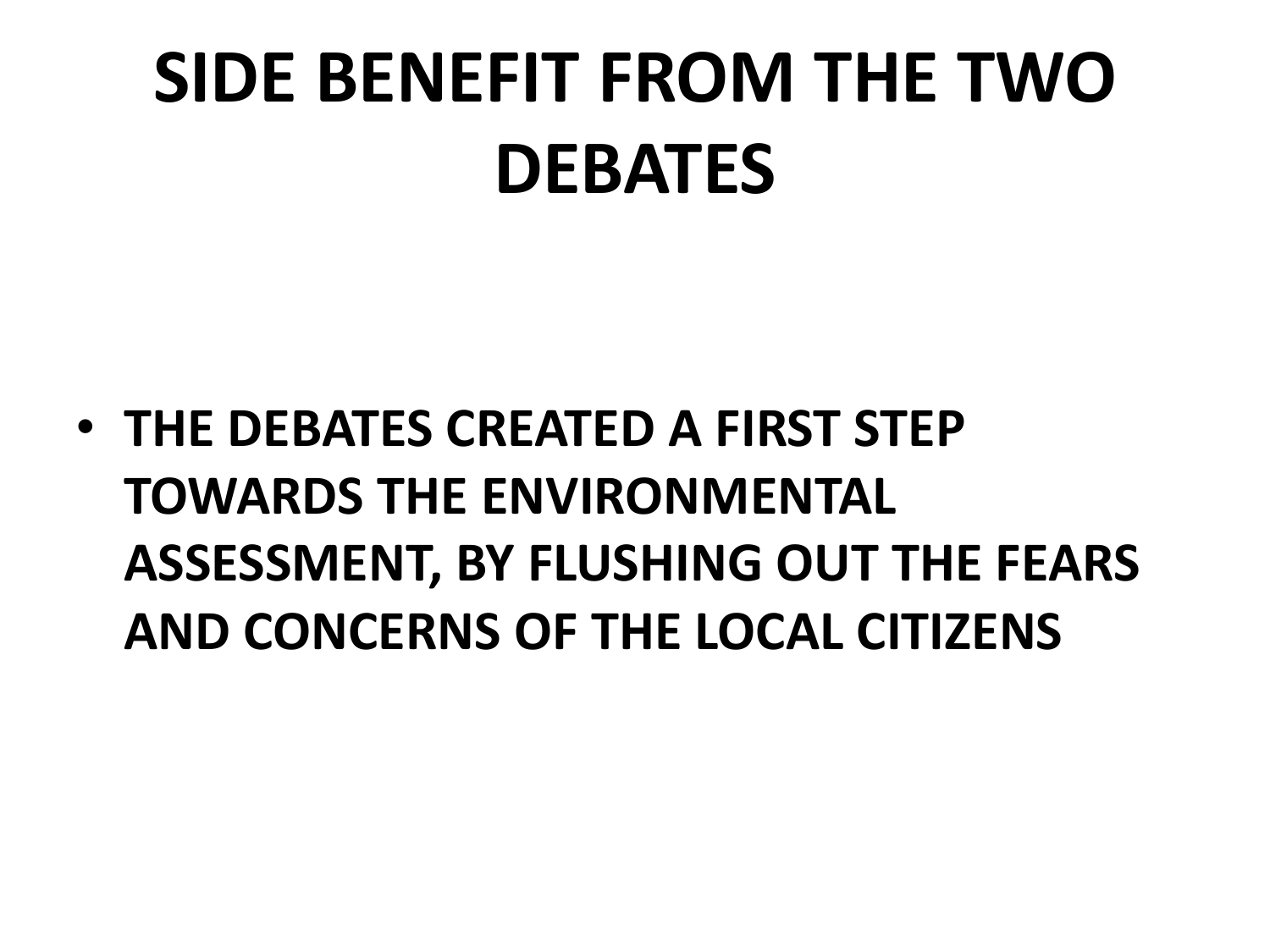# **SIDE BENEFIT FROM THE TWO DEBATES&**

• THE DEBATES CREATED A FIRST STEP **TOWARDS&THE&ENVIRONMENTAL& ASSESSMENT, BY FLUSHING OUT THE FEARS AND&CONCERNS&OF&THE&LOCAL&CITIZENS&**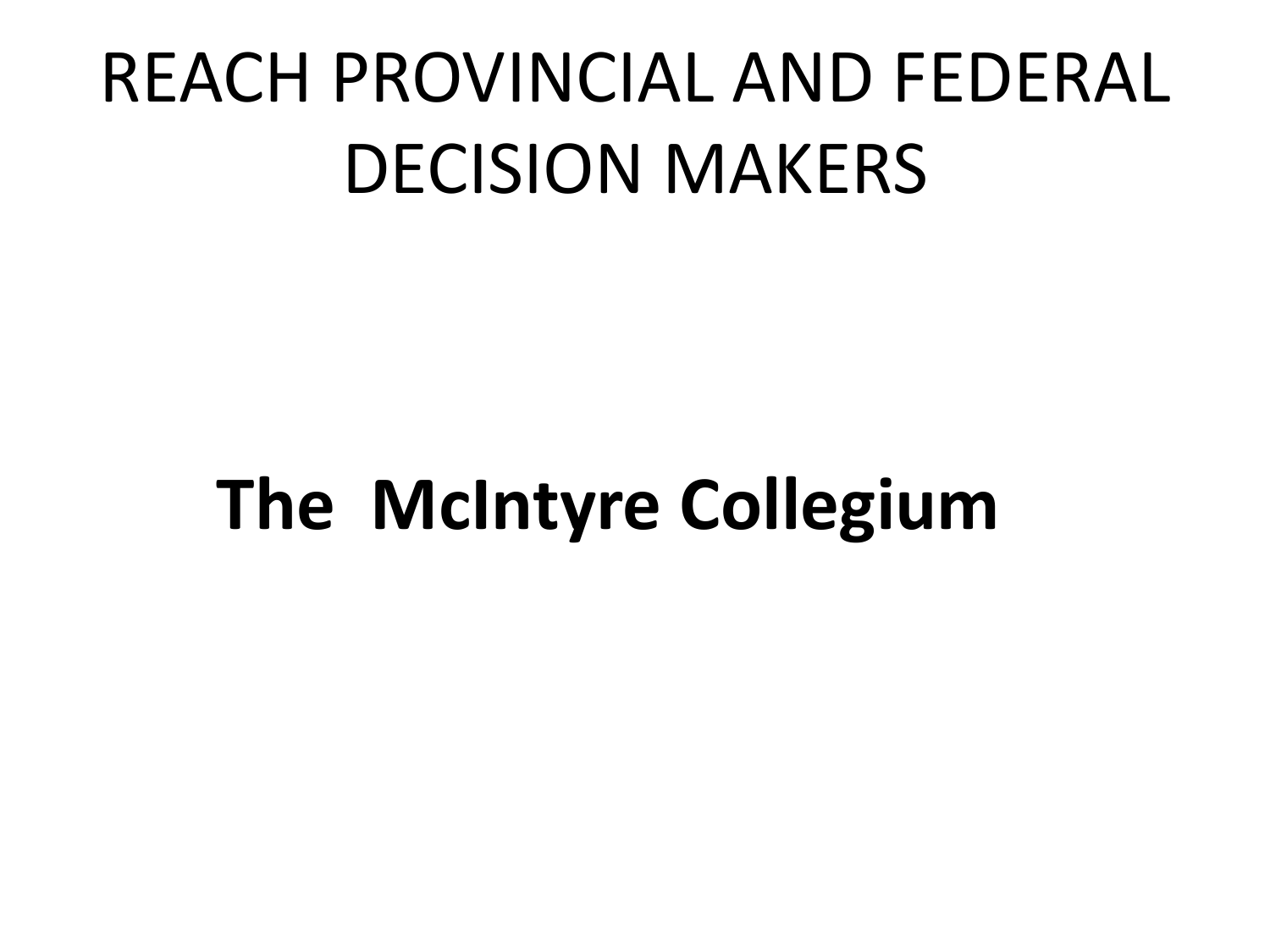# REACH PROVINCIAL AND FEDERAL DECISION MAKERS

# **The McIntyre Collegium**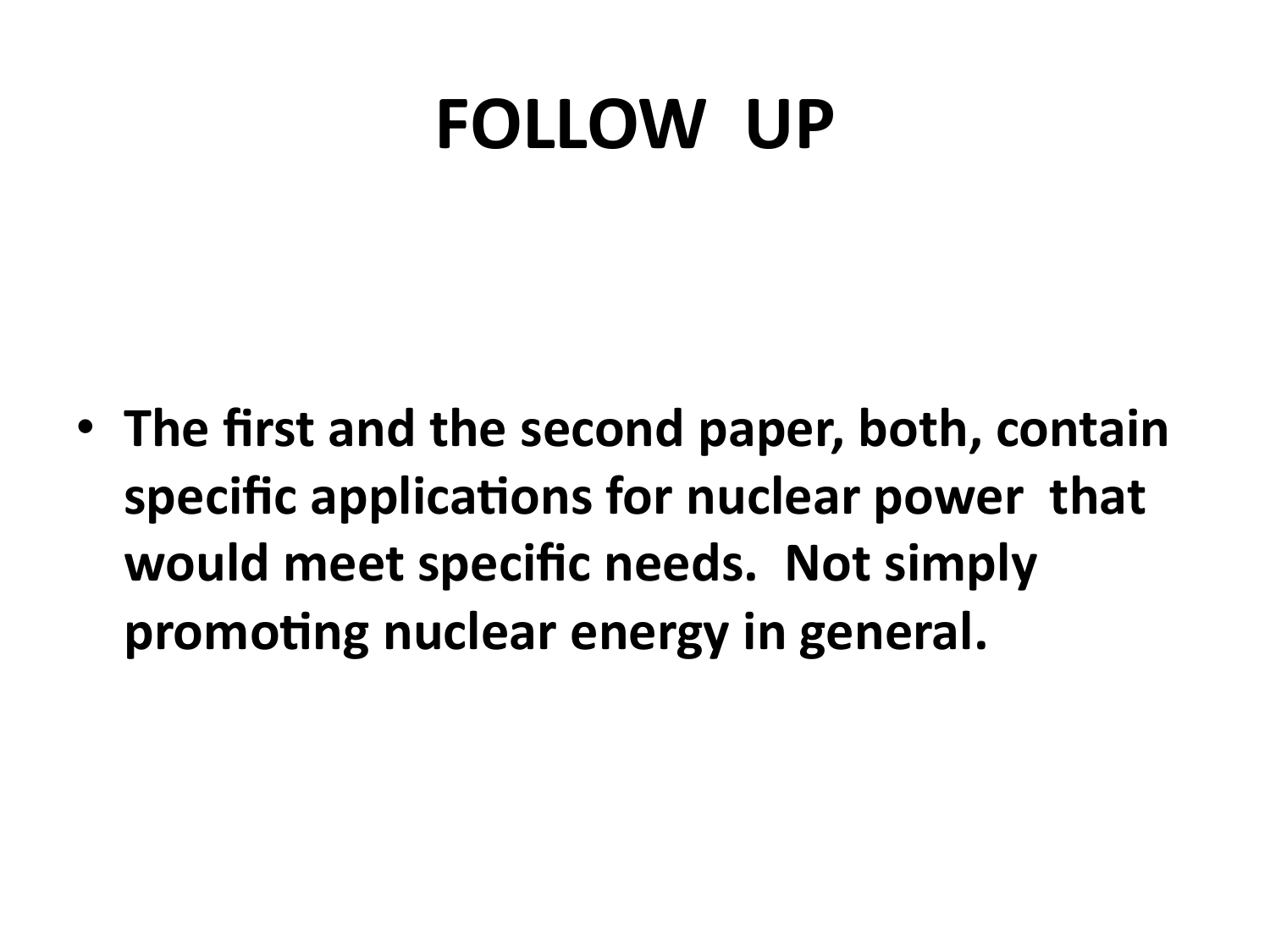## **FOLLOW UP**

• The first and the second paper, both, contain specific applications for nuclear power that would meet specific needs. Not simply promoting nuclear energy in general.